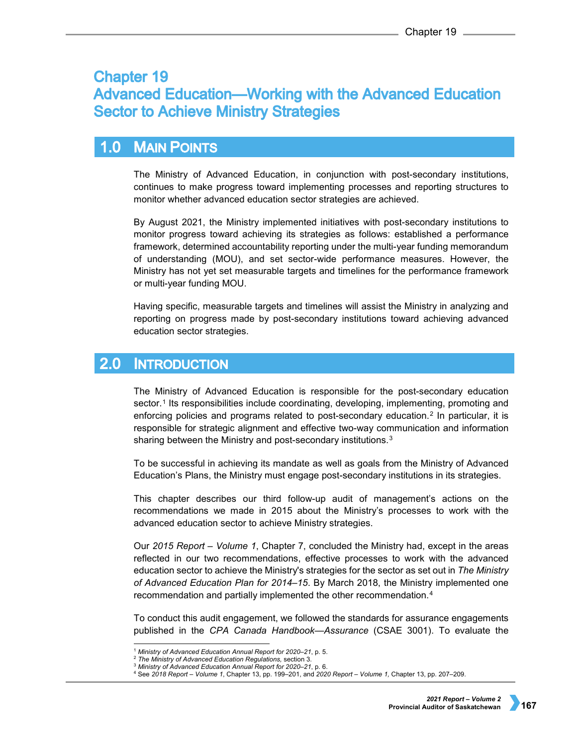# **Chapter 19 Advanced Education—Working with the Advanced Education Sector to Achieve Ministry Strategies**

#### $1.0$ **MAIN POINTS**

The Ministry of Advanced Education, in conjunction with post-secondary institutions, continues to make progress toward implementing processes and reporting structures to monitor whether advanced education sector strategies are achieved.

By August 2021, the Ministry implemented initiatives with post-secondary institutions to monitor progress toward achieving its strategies as follows: established a performance framework, determined accountability reporting under the multi-year funding memorandum of understanding (MOU), and set sector-wide performance measures. However, the Ministry has not yet set measurable targets and timelines for the performance framework or multi-year funding MOU.

Having specific, measurable targets and timelines will assist the Ministry in analyzing and reporting on progress made by post-secondary institutions toward achieving advanced education sector strategies.

#### $2.0$ **INTRODUCTION**

The Ministry of Advanced Education is responsible for the post-secondary education sector.<sup>[1](#page-0-0)</sup> Its responsibilities include coordinating, developing, implementing, promoting and enforcing policies and programs related to post-secondary education.[2](#page-0-1) In particular, it is responsible for strategic alignment and effective two-way communication and information sharing between the Ministry and post-secondary institutions.<sup>[3](#page-0-2)</sup>

To be successful in achieving its mandate as well as goals from the Ministry of Advanced Education's Plans, the Ministry must engage post-secondary institutions in its strategies.

This chapter describes our third follow-up audit of management's actions on the recommendations we made in 2015 about the Ministry's processes to work with the advanced education sector to achieve Ministry strategies.

Our *2015 Report – Volume 1*, Chapter 7, concluded the Ministry had, except in the areas reflected in our two recommendations, effective processes to work with the advanced education sector to achieve the Ministry's strategies for the sector as set out in *The Ministry of Advanced Education Plan for 2014–15*. By March 2018, the Ministry implemented one recommendation and partially implemented the other recommendation.[4](#page-0-3)

To conduct this audit engagement, we followed the standards for assurance engagements published in the *CPA Canada Handbook—Assurance* (CSAE 3001). To evaluate the

 <sup>1</sup> *Ministry of Advanced Education Annual Report for 2020–21*, p. 5.

<sup>2</sup> *The Ministry of Advanced Education Regulations,* section 3.

<sup>3</sup> *Ministry of Advanced Education Annual Report for 2020–21*, p. 6.

<span id="page-0-3"></span><span id="page-0-2"></span><span id="page-0-1"></span><span id="page-0-0"></span><sup>4</sup> See *2018 Report – Volume 1*, Chapter 13, pp. 199–201, and *2020 Report – Volume 1,* Chapter 13, pp. 207–209.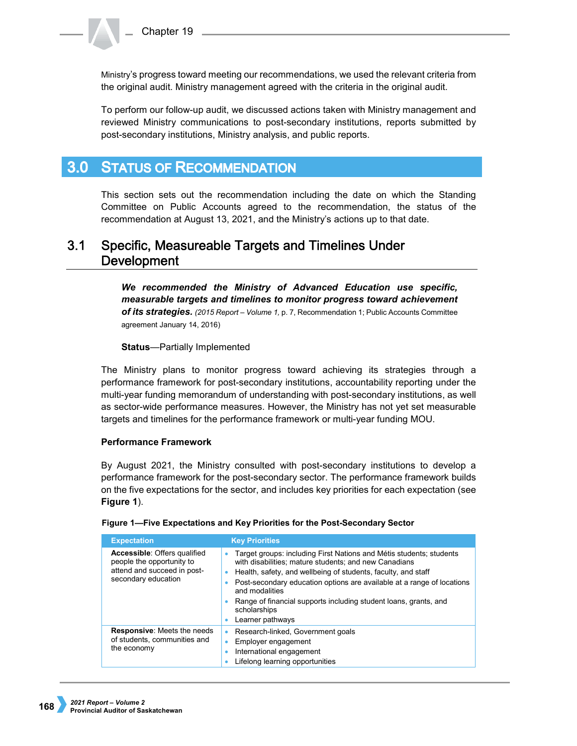Ministry's progress toward meeting our recommendations, we used the relevant criteria from the original audit. Ministry management agreed with the criteria in the original audit.

To perform our follow-up audit, we discussed actions taken with Ministry management and reviewed Ministry communications to post-secondary institutions, reports submitted by post-secondary institutions, Ministry analysis, and public reports.

#### **STATUS OF RECOMMENDATION**  $3.0<sub>1</sub>$

This section sets out the recommendation including the date on which the Standing Committee on Public Accounts agreed to the recommendation, the status of the recommendation at August 13, 2021, and the Ministry's actions up to that date.

#### $3.1$ Specific, Measureable Targets and Timelines Under **Development**

*We recommended the Ministry of Advanced Education use specific, measurable targets and timelines to monitor progress toward achievement of its strategies. (2015 Report – Volume 1,* p. 7, Recommendation 1; Public Accounts Committee agreement January 14, 2016)

## **Status**—Partially Implemented

The Ministry plans to monitor progress toward achieving its strategies through a performance framework for post-secondary institutions, accountability reporting under the multi-year funding memorandum of understanding with post-secondary institutions, as well as sector-wide performance measures. However, the Ministry has not yet set measurable targets and timelines for the performance framework or multi-year funding MOU.

## **Performance Framework**

By August 2021, the Ministry consulted with post-secondary institutions to develop a performance framework for the post-secondary sector. The performance framework builds on the five expectations for the sector, and includes key priorities for each expectation (see **Figure 1**).

| <b>Expectation</b>                                                                                                     | <b>Key Priorities</b>                                                                                                                                                                                                                                                                                                                                                                                  |
|------------------------------------------------------------------------------------------------------------------------|--------------------------------------------------------------------------------------------------------------------------------------------------------------------------------------------------------------------------------------------------------------------------------------------------------------------------------------------------------------------------------------------------------|
| <b>Accessible: Offers qualified</b><br>people the opportunity to<br>attend and succeed in post-<br>secondary education | Target groups: including First Nations and Métis students; students<br>۰<br>with disabilities; mature students; and new Canadians<br>Health, safety, and wellbeing of students, faculty, and staff<br>Post-secondary education options are available at a range of locations<br>and modalities<br>Range of financial supports including student loans, grants, and<br>scholarships<br>Learner pathways |
| <b>Responsive:</b> Meets the needs<br>of students, communities and<br>the economy                                      | Research-linked, Government goals<br>Employer engagement<br>International engagement<br>Lifelong learning opportunities                                                                                                                                                                                                                                                                                |

## **Figure 1—Five Expectations and Key Priorities for the Post-Secondary Sector**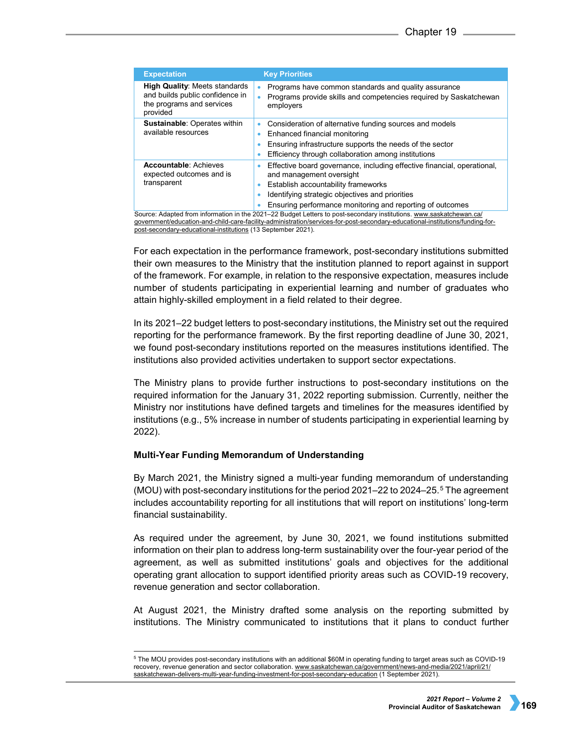| <b>Expectation</b>                                                                                                                                                                                                                                                                                                  | <b>Key Priorities</b>                                                                                                                                                                                                                                      |  |  |  |  |
|---------------------------------------------------------------------------------------------------------------------------------------------------------------------------------------------------------------------------------------------------------------------------------------------------------------------|------------------------------------------------------------------------------------------------------------------------------------------------------------------------------------------------------------------------------------------------------------|--|--|--|--|
| <b>High Quality: Meets standards</b><br>and builds public confidence in<br>the programs and services<br>provided                                                                                                                                                                                                    | Programs have common standards and quality assurance<br>Programs provide skills and competencies required by Saskatchewan<br>employers                                                                                                                     |  |  |  |  |
| <b>Sustainable: Operates within</b><br>available resources                                                                                                                                                                                                                                                          | Consideration of alternative funding sources and models<br>$\bullet$<br>Enhanced financial monitoring<br>۰<br>Ensuring infrastructure supports the needs of the sector<br>Efficiency through collaboration among institutions                              |  |  |  |  |
| <b>Accountable: Achieves</b><br>expected outcomes and is<br>transparent                                                                                                                                                                                                                                             | Effective board governance, including effective financial, operational,<br>and management oversight<br>Establish accountability frameworks<br>Identifying strategic objectives and priorities<br>Ensuring performance monitoring and reporting of outcomes |  |  |  |  |
| Source: Adapted from information in the 2021-22 Budget Letters to post-secondary institutions. www.saskatchewan.ca/<br>qovernment/education-and-child-care-facility-administration/services-for-post-secondary-educational-institutions/funding-for-<br>nost-secondary-educational-institutions (13 Sentember 2021) |                                                                                                                                                                                                                                                            |  |  |  |  |

[post-secondary-educational-institutions](http://www.saskatchewan.ca/government%20/education-and-child-care-facility-administration/services-for-post-secondary-educational-institutions/funding-for-post-secondary-educational-institutions) (13 September 2021).

For each expectation in the performance framework, post-secondary institutions submitted their own measures to the Ministry that the institution planned to report against in support of the framework. For example, in relation to the responsive expectation, measures include number of students participating in experiential learning and number of graduates who attain highly-skilled employment in a field related to their degree.

In its 2021–22 budget letters to post-secondary institutions, the Ministry set out the required reporting for the performance framework. By the first reporting deadline of June 30, 2021, we found post-secondary institutions reported on the measures institutions identified. The institutions also provided activities undertaken to support sector expectations.

The Ministry plans to provide further instructions to post-secondary institutions on the required information for the January 31, 2022 reporting submission. Currently, neither the Ministry nor institutions have defined targets and timelines for the measures identified by institutions (e.g., 5% increase in number of students participating in experiential learning by 2022).

## **Multi-Year Funding Memorandum of Understanding**

By March 2021, the Ministry signed a multi-year funding memorandum of understanding (MOU) with post-secondary institutions for the period 2021–22 to 2024–25.[5](#page-2-0) The agreement includes accountability reporting for all institutions that will report on institutions' long-term financial sustainability.

As required under the agreement, by June 30, 2021, we found institutions submitted information on their plan to address long-term sustainability over the four-year period of the agreement, as well as submitted institutions' goals and objectives for the additional operating grant allocation to support identified priority areas such as COVID-19 recovery, revenue generation and sector collaboration.

At August 2021, the Ministry drafted some analysis on the reporting submitted by institutions. The Ministry communicated to institutions that it plans to conduct further

<span id="page-2-0"></span> <sup>5</sup> The MOU provides post-secondary institutions with an additional \$60M in operating funding to target areas such as COVID-19 recovery, revenue generation and sector collaboration[. www.saskatchewan.ca/government/news-and-media/2021/april/21/](http://www.saskatchewan.ca/government/news-and-media/2021/april/21/%20saskatchewan-delivers-multi-year-funding-investment-for-post-secondary-education)  [saskatchewan-delivers-multi-year-funding-investment-for-post-secondary-education](http://www.saskatchewan.ca/government/news-and-media/2021/april/21/%20saskatchewan-delivers-multi-year-funding-investment-for-post-secondary-education) (1 September 2021).